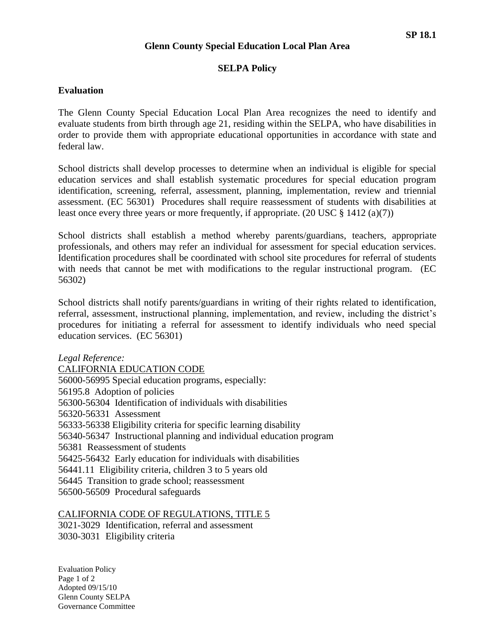#### **Glenn County Special Education Local Plan Area**

### **SELPA Policy**

#### **Evaluation**

The Glenn County Special Education Local Plan Area recognizes the need to identify and evaluate students from birth through age 21, residing within the SELPA, who have disabilities in order to provide them with appropriate educational opportunities in accordance with state and federal law.

School districts shall develop processes to determine when an individual is eligible for special education services and shall establish systematic procedures for special education program identification, screening, referral, assessment, planning, implementation, review and triennial assessment. (EC 56301) Procedures shall require reassessment of students with disabilities at least once every three years or more frequently, if appropriate.  $(20 \text{ USC} \text{ } \text{\&} 1412 \text{ } (a)(7))$ 

School districts shall establish a method whereby parents/guardians, teachers, appropriate professionals, and others may refer an individual for assessment for special education services. Identification procedures shall be coordinated with school site procedures for referral of students with needs that cannot be met with modifications to the regular instructional program. (EC 56302)

School districts shall notify parents/guardians in writing of their rights related to identification, referral, assessment, instructional planning, implementation, and review, including the district's procedures for initiating a referral for assessment to identify individuals who need special education services. (EC 56301)

*Legal Reference:* CALIFORNIA EDUCATION CODE 56000-56995 Special education programs, especially: 56195.8 Adoption of policies 56300-56304 Identification of individuals with disabilities 56320-56331 Assessment 56333-56338 Eligibility criteria for specific learning disability 56340-56347 Instructional planning and individual education program 56381 Reassessment of students 56425-56432 Early education for individuals with disabilities 56441.11 Eligibility criteria, children 3 to 5 years old 56445 Transition to grade school; reassessment 56500-56509 Procedural safeguards

### CALIFORNIA CODE OF REGULATIONS, TITLE 5

3021-3029 Identification, referral and assessment 3030-3031 Eligibility criteria

Evaluation Policy Page 1 of 2 Adopted 09/15/10 Glenn County SELPA Governance Committee